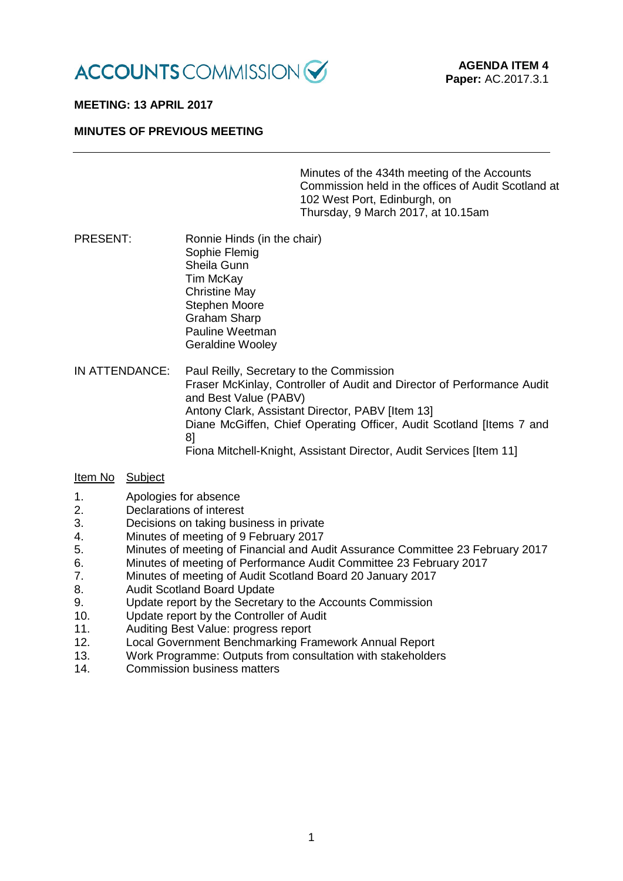

# **MEETING: 13 APRIL 2017**

## **MINUTES OF PREVIOUS MEETING**

Minutes of the 434th meeting of the Accounts Commission held in the offices of Audit Scotland at 102 West Port, Edinburgh, on Thursday, 9 March 2017, at 10.15am

- PRESENT: Ronnie Hinds (in the chair) Sophie Flemig Sheila Gunn Tim McKay Christine May Stephen Moore Graham Sharp Pauline Weetman Geraldine Wooley
- IN ATTENDANCE: Paul Reilly, Secretary to the Commission Fraser McKinlay, Controller of Audit and Director of Performance Audit and Best Value (PABV) Antony Clark, Assistant Director, PABV [Item 13] Diane McGiffen, Chief Operating Officer, Audit Scotland [Items 7 and 8] Fiona Mitchell-Knight, Assistant Director, Audit Services [Item 11]

# Item No Subject

- 1. Apologies for absence<br>2. Declarations of interest
- Declarations of interest
- 3. Decisions on taking business in private
- 4. Minutes of meeting of 9 February 2017
- 5. Minutes of meeting of Financial and Audit Assurance Committee 23 February 2017
- 6. Minutes of meeting of Performance Audit Committee 23 February 2017
- 7. Minutes of meeting of Audit Scotland Board 20 January 2017
- **Audit Scotland Board Update**
- 9. Update report by the Secretary to the Accounts Commission
- 10. Update report by the Controller of Audit
- 11. Auditing Best Value: progress report
- 12. Local Government Benchmarking Framework Annual Report
- 13. Work Programme: Outputs from consultation with stakeholders 14.
- Commission business matters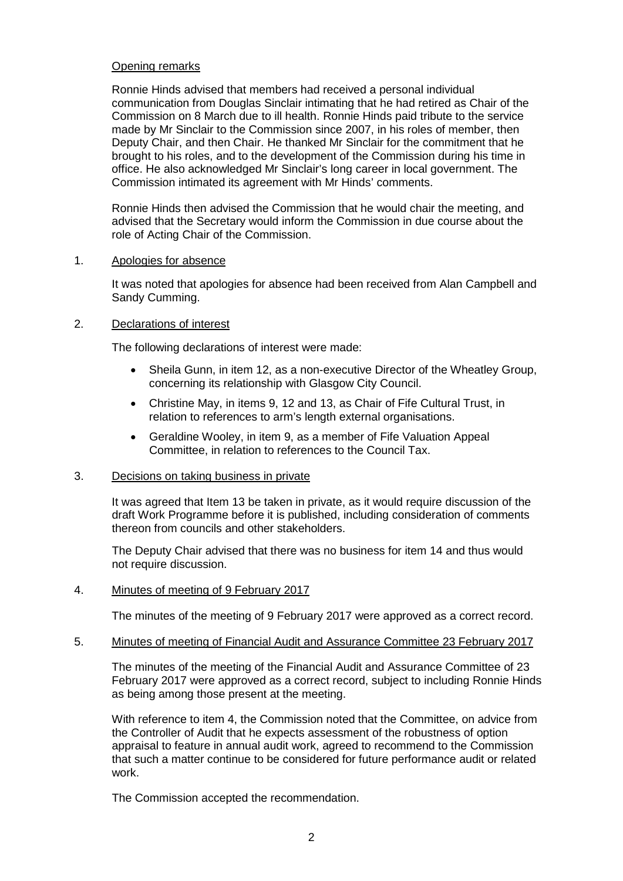# Opening remarks

Ronnie Hinds advised that members had received a personal individual communication from Douglas Sinclair intimating that he had retired as Chair of the Commission on 8 March due to ill health. Ronnie Hinds paid tribute to the service made by Mr Sinclair to the Commission since 2007, in his roles of member, then Deputy Chair, and then Chair. He thanked Mr Sinclair for the commitment that he brought to his roles, and to the development of the Commission during his time in office. He also acknowledged Mr Sinclair's long career in local government. The Commission intimated its agreement with Mr Hinds' comments.

Ronnie Hinds then advised the Commission that he would chair the meeting, and advised that the Secretary would inform the Commission in due course about the role of Acting Chair of the Commission.

### 1. Apologies for absence

It was noted that apologies for absence had been received from Alan Campbell and Sandy Cumming.

# 2. Declarations of interest

The following declarations of interest were made:

- Sheila Gunn, in item 12, as a non-executive Director of the Wheatley Group, concerning its relationship with Glasgow City Council.
- Christine May, in items 9, 12 and 13, as Chair of Fife Cultural Trust, in relation to references to arm's length external organisations.
- Geraldine Wooley, in item 9, as a member of Fife Valuation Appeal Committee, in relation to references to the Council Tax.

### 3. Decisions on taking business in private

It was agreed that Item 13 be taken in private, as it would require discussion of the draft Work Programme before it is published, including consideration of comments thereon from councils and other stakeholders.

The Deputy Chair advised that there was no business for item 14 and thus would not require discussion.

### 4. Minutes of meeting of 9 February 2017

The minutes of the meeting of 9 February 2017 were approved as a correct record.

### 5. Minutes of meeting of Financial Audit and Assurance Committee 23 February 2017

The minutes of the meeting of the Financial Audit and Assurance Committee of 23 February 2017 were approved as a correct record, subject to including Ronnie Hinds as being among those present at the meeting.

With reference to item 4, the Commission noted that the Committee, on advice from the Controller of Audit that he expects assessment of the robustness of option appraisal to feature in annual audit work, agreed to recommend to the Commission that such a matter continue to be considered for future performance audit or related work.

The Commission accepted the recommendation.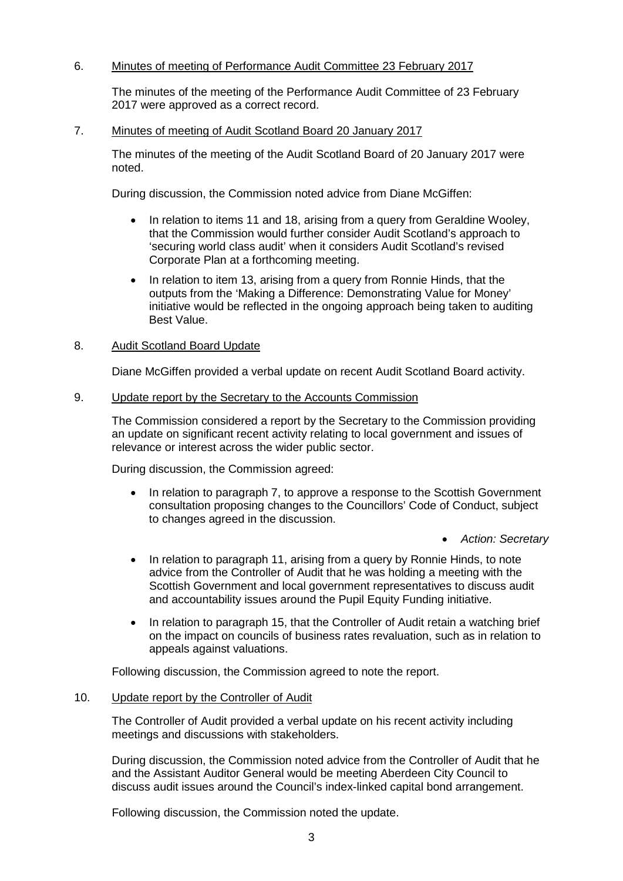# 6. Minutes of meeting of Performance Audit Committee 23 February 2017

The minutes of the meeting of the Performance Audit Committee of 23 February 2017 were approved as a correct record.

## 7. Minutes of meeting of Audit Scotland Board 20 January 2017

The minutes of the meeting of the Audit Scotland Board of 20 January 2017 were noted.

During discussion, the Commission noted advice from Diane McGiffen:

- In relation to items 11 and 18, arising from a query from Geraldine Wooley, that the Commission would further consider Audit Scotland's approach to 'securing world class audit' when it considers Audit Scotland's revised Corporate Plan at a forthcoming meeting.
- In relation to item 13, arising from a query from Ronnie Hinds, that the outputs from the 'Making a Difference: Demonstrating Value for Money' initiative would be reflected in the ongoing approach being taken to auditing Best Value.

## 8. Audit Scotland Board Update

Diane McGiffen provided a verbal update on recent Audit Scotland Board activity.

### 9. Update report by the Secretary to the Accounts Commission

The Commission considered a report by the Secretary to the Commission providing an update on significant recent activity relating to local government and issues of relevance or interest across the wider public sector.

During discussion, the Commission agreed:

- In relation to paragraph 7, to approve a response to the Scottish Government consultation proposing changes to the Councillors' Code of Conduct, subject to changes agreed in the discussion.
	- *Action: Secretary*
- In relation to paragraph 11, arising from a query by Ronnie Hinds, to note advice from the Controller of Audit that he was holding a meeting with the Scottish Government and local government representatives to discuss audit and accountability issues around the Pupil Equity Funding initiative.
- In relation to paragraph 15, that the Controller of Audit retain a watching brief on the impact on councils of business rates revaluation, such as in relation to appeals against valuations.

Following discussion, the Commission agreed to note the report.

## 10. Update report by the Controller of Audit

The Controller of Audit provided a verbal update on his recent activity including meetings and discussions with stakeholders.

During discussion, the Commission noted advice from the Controller of Audit that he and the Assistant Auditor General would be meeting Aberdeen City Council to discuss audit issues around the Council's index-linked capital bond arrangement.

Following discussion, the Commission noted the update.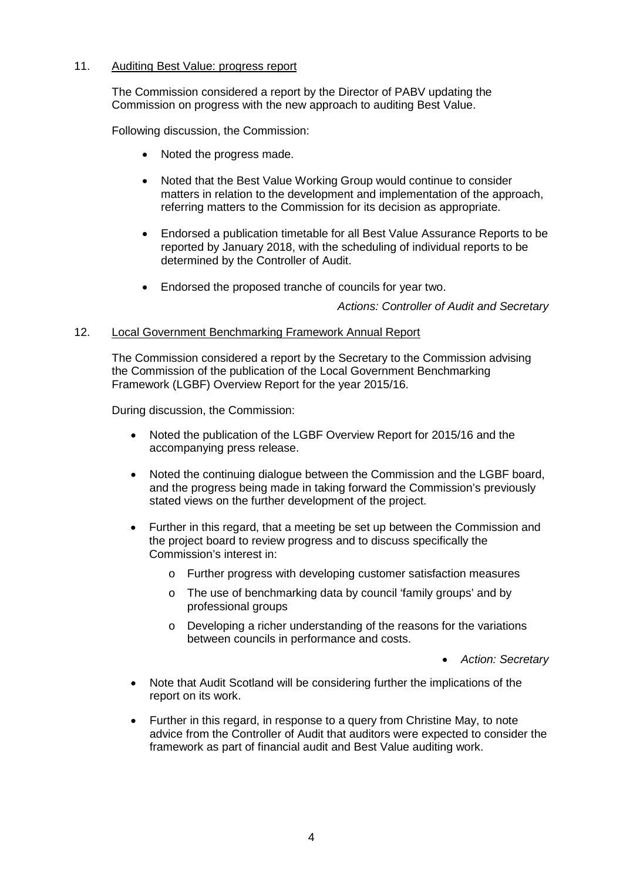# 11. Auditing Best Value: progress report

The Commission considered a report by the Director of PABV updating the Commission on progress with the new approach to auditing Best Value.

Following discussion, the Commission:

- Noted the progress made.
- Noted that the Best Value Working Group would continue to consider matters in relation to the development and implementation of the approach, referring matters to the Commission for its decision as appropriate.
- Endorsed a publication timetable for all Best Value Assurance Reports to be reported by January 2018, with the scheduling of individual reports to be determined by the Controller of Audit.
- Endorsed the proposed tranche of councils for year two.

*Actions: Controller of Audit and Secretary*

## 12. Local Government Benchmarking Framework Annual Report

The Commission considered a report by the Secretary to the Commission advising the Commission of the publication of the Local Government Benchmarking Framework (LGBF) Overview Report for the year 2015/16.

During discussion, the Commission:

- Noted the publication of the LGBF Overview Report for 2015/16 and the accompanying press release.
- Noted the continuing dialogue between the Commission and the LGBF board, and the progress being made in taking forward the Commission's previously stated views on the further development of the project.
- Further in this regard, that a meeting be set up between the Commission and the project board to review progress and to discuss specifically the Commission's interest in:
	- o Further progress with developing customer satisfaction measures
	- o The use of benchmarking data by council 'family groups' and by professional groups
	- o Developing a richer understanding of the reasons for the variations between councils in performance and costs.

• *Action: Secretary*

- Note that Audit Scotland will be considering further the implications of the report on its work.
- Further in this regard, in response to a query from Christine May, to note advice from the Controller of Audit that auditors were expected to consider the framework as part of financial audit and Best Value auditing work.